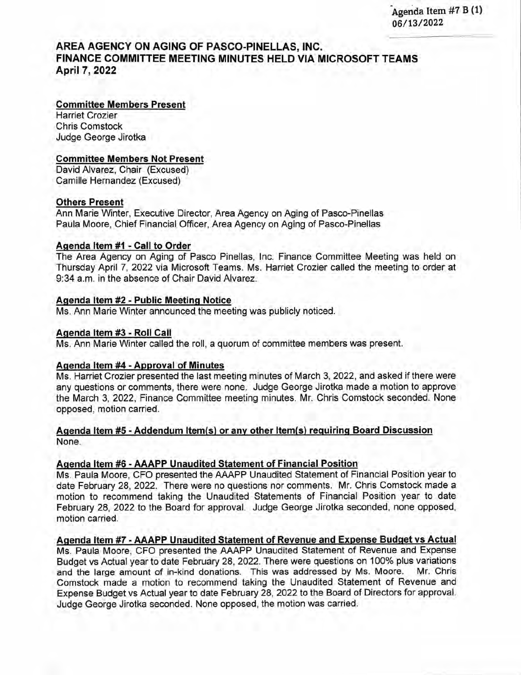Agenda Item #7 B (1) 06/13/2022

# **AREA AGENCY ON AGING OF PASCO-PINELLAS, INC. FINANCE COMMITTEE MEETING MINUTES HELD VIA MICROSOFT TEAMS April** 7, **2022**

### **Committee Members Present**

Harriet Crazier Chris Comstock Judge Gearge Jiratka

### **Committee Members Not Present**

David Alvarez, Chair (Excused) Camille Hernandez (Excused)

### **Others Present**

Ann Marie Winter, Executive Director, Area Agency on Aging of Pasco-Pinellas Paula Maare, Chief Financial Officer, Area Agency an Aging af Pasca-Pinellas

### **Agenda Item #1 - Call to Order**

The Area Agency an Aging af Pasca Pinellas, Inc. Finance Cammittee Meeting was held an Thursday April 7, 2022 via Microsoft Teams. Ms. Harriet Crozier called the meeting to order at 9:34 a.m. in the absence of Chair David Alvarez.

### **Agenda Item #2 - Public Meetinq Notice**

Ms. Ann Marie Winter announced the meeting was publicly noticed.

### **Açienda Item #3 - Roll Call**

Ms. Ann Marie Winter called the raIl, a quarum af cammittee members was present.

### **Agenda Item #4 - Approval of Minutes**

Ms. Harriet Crozier presented the last meeting minutes of March 3, 2022, and asked if there were any questions or comments, there were none. Judge George Jirotka made a motion to approve the March 3, 2022, Finance Committee meeting minutes. Mr. Chris Comstock seconded. None opposed, motion carried.

### **Agenda Item #5 - Addendum Item(s) or any other Item(s) requiring Board Discussion**  None.

### **Agenda Item #6 - AAAPP Unaudited Statement of Financial Position**

Ms. Paula Maare, CFO presented the AAAPP Unaudited Statement af Financial Pasitian year ta date February 28, 2022. There were no questions nor comments. Mr. Chris Comstock made a motion to recommend taking the Unaudited Statements of Financial Position year to date February 28, 2022 to the Board for approval. Judge George Jirotka seconded, none opposed, motion carried.

## **Aqenda Item #7 - AAAPP Unaudited Statement of Revenue and Expense Budget vs Actual**

Ms. Paula Maare, CEO presented the AAAPP Unaudited Statement af Revenue and Expense Budget vs Actual year to date February 28, 2022. There were questions on 100% plus variations and the large amount of in-kind donations. This was addressed by Ms. Moore. Mr. Chris Comstock made a motion to recommend taking the Unaudited Statement of Revenue and Expense Budget vs Actual year to date February 28, 2022 to the Board of Directors for approval. Judge George Jirotka seconded. None opposed, the motion was carried.